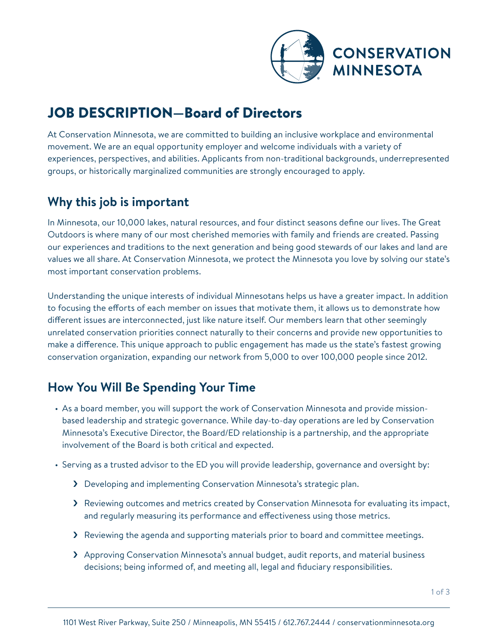

# JOB DESCRIPTION—Board of Directors

At Conservation Minnesota, we are committed to building an inclusive workplace and environmental movement. We are an equal opportunity employer and welcome individuals with a variety of experiences, perspectives, and abilities. Applicants from non-traditional backgrounds, underrepresented groups, or historically marginalized communities are strongly encouraged to apply.

## **Why this job is important**

In Minnesota, our 10,000 lakes, natural resources, and four distinct seasons define our lives. The Great Outdoors is where many of our most cherished memories with family and friends are created. Passing our experiences and traditions to the next generation and being good stewards of our lakes and land are values we all share. At Conservation Minnesota, we protect the Minnesota you love by solving our state's most important conservation problems.

Understanding the unique interests of individual Minnesotans helps us have a greater impact. In addition to focusing the efforts of each member on issues that motivate them, it allows us to demonstrate how different issues are interconnected, just like nature itself. Our members learn that other seemingly unrelated conservation priorities connect naturally to their concerns and provide new opportunities to make a difference. This unique approach to public engagement has made us the state's fastest growing conservation organization, expanding our network from 5,000 to over 100,000 people since 2012.

## **How You Will Be Spending Your Time**

- As a board member, you will support the work of Conservation Minnesota and provide missionbased leadership and strategic governance. While day-to-day operations are led by Conservation Minnesota's Executive Director, the Board/ED relationship is a partnership, and the appropriate involvement of the Board is both critical and expected.
- Serving as a trusted advisor to the ED you will provide leadership, governance and oversight by:
	- › Developing and implementing Conservation Minnesota's strategic plan.
	- › Reviewing outcomes and metrics created by Conservation Minnesota for evaluating its impact, and regularly measuring its performance and effectiveness using those metrics.
	- › Reviewing the agenda and supporting materials prior to board and committee meetings.
	- > Approving Conservation Minnesota's annual budget, audit reports, and material business decisions; being informed of, and meeting all, legal and fiduciary responsibilities.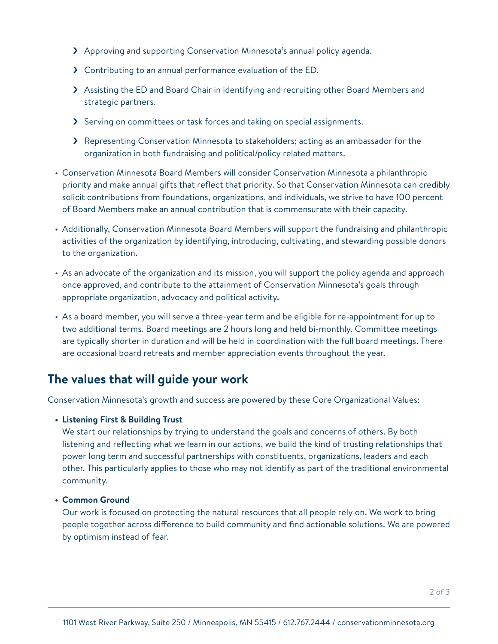- > Approving and supporting Conservation Minnesota's annual policy agenda.
- › Contributing to an annual performance evaluation of the ED.
- > Assisting the ED and Board Chair in identifying and recruiting other Board Members and strategic partners.
- > Serving on committees or task forces and taking on special assignments.
- > Representing Conservation Minnesota to stakeholders; acting as an ambassador for the organization in both fundraising and political/policy related matters.
- Conservation Minnesota Board Members will consider Conservation Minnesota a philanthropic priority and make annual gifts that reflect that priority. So that Conservation Minnesota can credibly solicit contributions from foundations, organizations, and individuals, we strive to have 100 percent of Board Members make an annual contribution that is commensurate with their capacity.
- Additionally, Conservation Minnesota Board Members will support the fundraising and philanthropic activities of the organization by identifying, introducing, cultivating, and stewarding possible donors to the organization.
- As an advocate of the organization and its mission, you will support the policy agenda and approach once approved, and contribute to the attainment of Conservation Minnesota's goals through appropriate organization, advocacy and political activity.
- As a board member, you will serve a three-year term and be eligible for re-appointment for up to two additional terms. Board meetings are 2 hours long and held bi-monthly. Committee meetings are typically shorter in duration and will be held in coordination with the full board meetings. There are occasional board retreats and member appreciation events throughout the year.

### **The values that will guide your work**

Conservation Minnesota's growth and success are powered by these Core Organizational Values:

#### **• Listening First & Building Trust**

We start our relationships by trying to understand the goals and concerns of others. By both listening and reflecting what we learn in our actions, we build the kind of trusting relationships that power long term and successful partnerships with constituents, organizations, leaders and each other. This particularly applies to those who may not identify as part of the traditional environmental community.

#### **• Common Ground**

Our work is focused on protecting the natural resources that all people rely on. We work to bring people together across difference to build community and find actionable solutions. We are powered by optimism instead of fear.